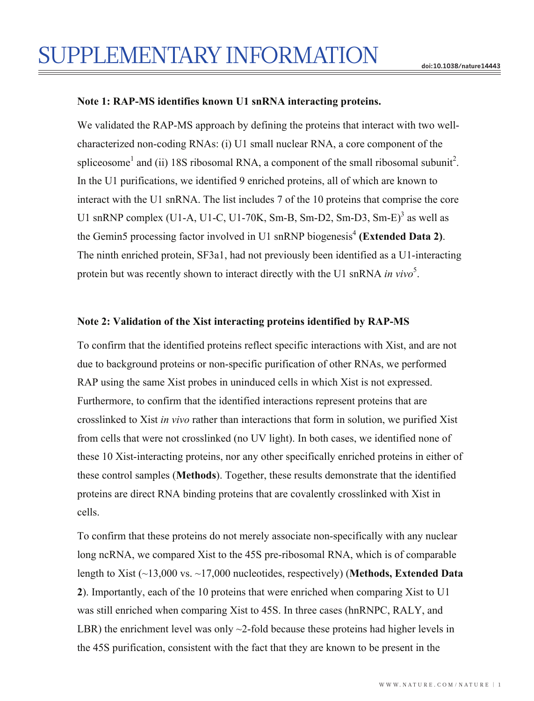## **Note 1: RAP-MS identifies known U1 snRNA interacting proteins.**

We validated the RAP-MS approach by defining the proteins that interact with two wellcharacterized non-coding RNAs: (i) U1 small nuclear RNA, a core component of the spliceosome<sup>1</sup> and (ii) 18S ribosomal RNA, a component of the small ribosomal subunit<sup>2</sup>. In the U1 purifications, we identified 9 enriched proteins, all of which are known to interact with the U1 snRNA. The list includes 7 of the 10 proteins that comprise the core U1 snRNP complex (U1-A, U1-C, U1-70K, Sm-B, Sm-D2, Sm-D3, Sm-E)<sup>3</sup> as well as the Gemin5 processing factor involved in U1 snRNP biogenesis<sup>4</sup> (Extended Data 2). The ninth enriched protein, SF3a1, had not previously been identified as a U1-interacting protein but was recently shown to interact directly with the U1 snRNA *in vivo*<sup>5</sup>.

### **Note 2: Validation of the Xist interacting proteins identified by RAP-MS**

To confirm that the identified proteins reflect specific interactions with Xist, and are not due to background proteins or non-specific purification of other RNAs, we performed RAP using the same Xist probes in uninduced cells in which Xist is not expressed. Furthermore, to confirm that the identified interactions represent proteins that are crosslinked to Xist *in vivo* rather than interactions that form in solution, we purified Xist from cells that were not crosslinked (no UV light). In both cases, we identified none of these 10 Xist-interacting proteins, nor any other specifically enriched proteins in either of these control samples (**Methods**). Together, these results demonstrate that the identified proteins are direct RNA binding proteins that are covalently crosslinked with Xist in cells.

To confirm that these proteins do not merely associate non-specifically with any nuclear long ncRNA, we compared Xist to the 45S pre-ribosomal RNA, which is of comparable length to Xist (~13,000 vs. ~17,000 nucleotides, respectively) (**Methods, Extended Data 2**). Importantly, each of the 10 proteins that were enriched when comparing Xist to U1 was still enriched when comparing Xist to 45S. In three cases (hnRNPC, RALY, and LBR) the enrichment level was only  $\sim$ 2-fold because these proteins had higher levels in the 45S purification, consistent with the fact that they are known to be present in the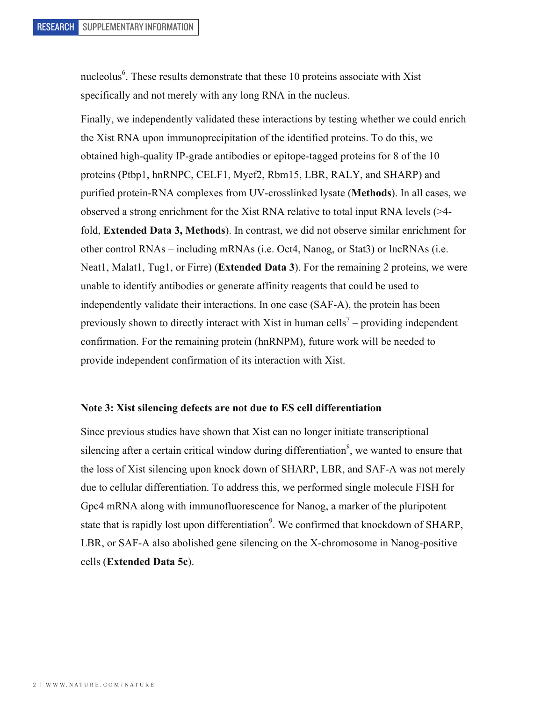nucleolus<sup>6</sup>. These results demonstrate that these 10 proteins associate with Xist specifically and not merely with any long RNA in the nucleus.

Finally, we independently validated these interactions by testing whether we could enrich the Xist RNA upon immunoprecipitation of the identified proteins. To do this, we obtained high-quality IP-grade antibodies or epitope-tagged proteins for 8 of the 10 proteins (Ptbp1, hnRNPC, CELF1, Myef2, Rbm15, LBR, RALY, and SHARP) and purified protein-RNA complexes from UV-crosslinked lysate (**Methods**). In all cases, we observed a strong enrichment for the Xist RNA relative to total input RNA levels (>4 fold, **Extended Data 3, Methods**). In contrast, we did not observe similar enrichment for other control RNAs – including mRNAs (i.e. Oct4, Nanog, or Stat3) or lncRNAs (i.e. Neat1, Malat1, Tug1, or Firre) (**Extended Data 3**). For the remaining 2 proteins, we were unable to identify antibodies or generate affinity reagents that could be used to independently validate their interactions. In one case (SAF-A), the protein has been previously shown to directly interact with Xist in human cells<sup>7</sup> – providing independent confirmation. For the remaining protein (hnRNPM), future work will be needed to provide independent confirmation of its interaction with Xist.

#### **Note 3: Xist silencing defects are not due to ES cell differentiation**

Since previous studies have shown that Xist can no longer initiate transcriptional silencing after a certain critical window during differentiation<sup>8</sup>, we wanted to ensure that the loss of Xist silencing upon knock down of SHARP, LBR, and SAF-A was not merely due to cellular differentiation. To address this, we performed single molecule FISH for Gpc4 mRNA along with immunofluorescence for Nanog, a marker of the pluripotent state that is rapidly lost upon differentiation<sup>9</sup>. We confirmed that knockdown of SHARP, LBR, or SAF-A also abolished gene silencing on the X-chromosome in Nanog-positive cells (**Extended Data 5c**).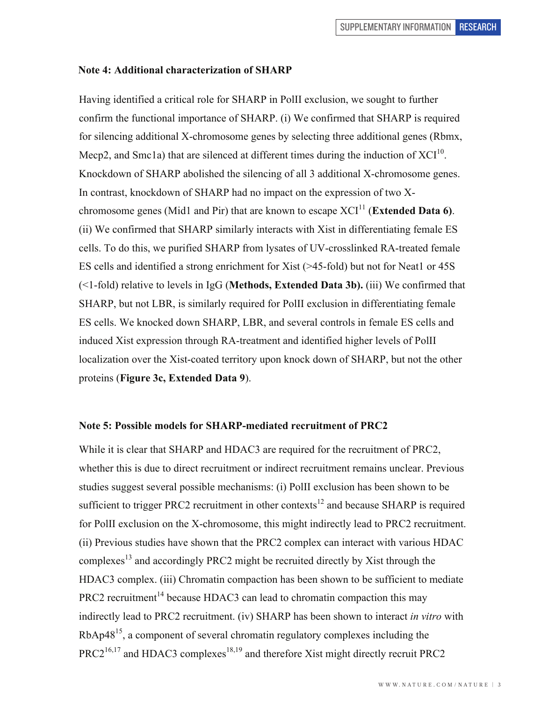#### **Note 4: Additional characterization of SHARP**

Having identified a critical role for SHARP in PolII exclusion, we sought to further confirm the functional importance of SHARP. (i) We confirmed that SHARP is required for silencing additional X-chromosome genes by selecting three additional genes (Rbmx, Mecp2, and Smc1a) that are silenced at different times during the induction of  $XCl<sup>10</sup>$ . Knockdown of SHARP abolished the silencing of all 3 additional X-chromosome genes. In contrast, knockdown of SHARP had no impact on the expression of two Xchromosome genes (Mid1 and Pir) that are known to escape  $XCI<sup>11</sup>$  (**Extended Data 6**). (ii) We confirmed that SHARP similarly interacts with Xist in differentiating female ES cells. To do this, we purified SHARP from lysates of UV-crosslinked RA-treated female ES cells and identified a strong enrichment for Xist (>45-fold) but not for Neat1 or 45S (<1-fold) relative to levels in IgG (**Methods, Extended Data 3b).** (iii) We confirmed that SHARP, but not LBR, is similarly required for PolII exclusion in differentiating female ES cells. We knocked down SHARP, LBR, and several controls in female ES cells and induced Xist expression through RA-treatment and identified higher levels of PolII localization over the Xist-coated territory upon knock down of SHARP, but not the other proteins (**Figure 3c, Extended Data 9**).

#### **Note 5: Possible models for SHARP-mediated recruitment of PRC2**

While it is clear that SHARP and HDAC3 are required for the recruitment of PRC2, whether this is due to direct recruitment or indirect recruitment remains unclear. Previous studies suggest several possible mechanisms: (i) PolII exclusion has been shown to be sufficient to trigger PRC2 recruitment in other contexts<sup>12</sup> and because SHARP is required for PolII exclusion on the X-chromosome, this might indirectly lead to PRC2 recruitment. (ii) Previous studies have shown that the PRC2 complex can interact with various HDAC complexes<sup>13</sup> and accordingly PRC2 might be recruited directly by Xist through the HDAC3 complex. (iii) Chromatin compaction has been shown to be sufficient to mediate  $PRC2$  recruitment<sup>14</sup> because HDAC3 can lead to chromatin compaction this may indirectly lead to PRC2 recruitment. (iv) SHARP has been shown to interact *in vitro* with RbAp4815, a component of several chromatin regulatory complexes including the  $PRC2^{16,17}$  and HDAC3 complexes<sup>18,19</sup> and therefore Xist might directly recruit PRC2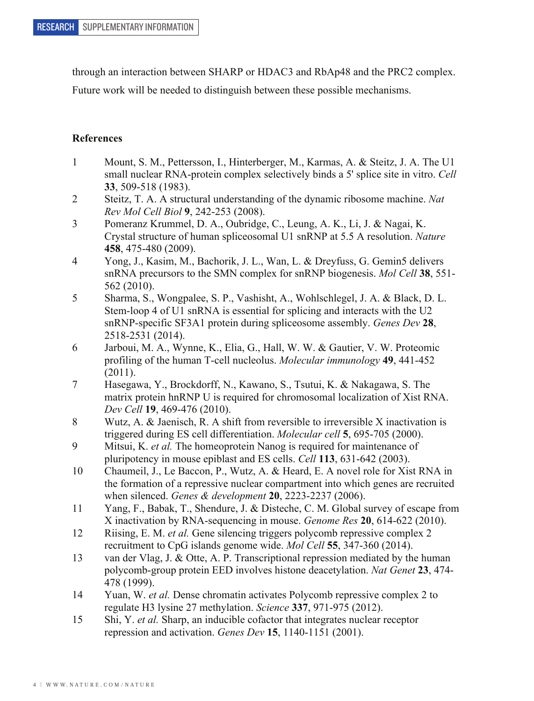through an interaction between SHARP or HDAC3 and RbAp48 and the PRC2 complex.

Future work will be needed to distinguish between these possible mechanisms.

# **References**

- 1 Mount, S. M., Pettersson, I., Hinterberger, M., Karmas, A. & Steitz, J. A. The U1 small nuclear RNA-protein complex selectively binds a 5' splice site in vitro. *Cell* **33**, 509-518 (1983).
- 2 Steitz, T. A. A structural understanding of the dynamic ribosome machine. *Nat Rev Mol Cell Biol* **9**, 242-253 (2008).
- 3 Pomeranz Krummel, D. A., Oubridge, C., Leung, A. K., Li, J. & Nagai, K. Crystal structure of human spliceosomal U1 snRNP at 5.5 A resolution. *Nature* **458**, 475-480 (2009).
- 4 Yong, J., Kasim, M., Bachorik, J. L., Wan, L. & Dreyfuss, G. Gemin5 delivers snRNA precursors to the SMN complex for snRNP biogenesis. *Mol Cell* **38**, 551- 562 (2010).
- 5 Sharma, S., Wongpalee, S. P., Vashisht, A., Wohlschlegel, J. A. & Black, D. L. Stem-loop 4 of U1 snRNA is essential for splicing and interacts with the U2 snRNP-specific SF3A1 protein during spliceosome assembly. *Genes Dev* **28**, 2518-2531 (2014).
- 6 Jarboui, M. A., Wynne, K., Elia, G., Hall, W. W. & Gautier, V. W. Proteomic profiling of the human T-cell nucleolus. *Molecular immunology* **49**, 441-452 (2011).
- 7 Hasegawa, Y., Brockdorff, N., Kawano, S., Tsutui, K. & Nakagawa, S. The matrix protein hnRNP U is required for chromosomal localization of Xist RNA. *Dev Cell* **19**, 469-476 (2010).
- 8 Wutz, A. & Jaenisch, R. A shift from reversible to irreversible X inactivation is triggered during ES cell differentiation. *Molecular cell* **5**, 695-705 (2000).
- 9 Mitsui, K. *et al.* The homeoprotein Nanog is required for maintenance of pluripotency in mouse epiblast and ES cells. *Cell* **113**, 631-642 (2003).
- 10 Chaumeil, J., Le Baccon, P., Wutz, A. & Heard, E. A novel role for Xist RNA in the formation of a repressive nuclear compartment into which genes are recruited when silenced. *Genes & development* **20**, 2223-2237 (2006).
- 11 Yang, F., Babak, T., Shendure, J. & Disteche, C. M. Global survey of escape from X inactivation by RNA-sequencing in mouse. *Genome Res* **20**, 614-622 (2010).
- 12 Riising, E. M. *et al.* Gene silencing triggers polycomb repressive complex 2 recruitment to CpG islands genome wide. *Mol Cell* **55**, 347-360 (2014).
- 13 van der Vlag, J. & Otte, A. P. Transcriptional repression mediated by the human polycomb-group protein EED involves histone deacetylation. *Nat Genet* **23**, 474- 478 (1999).
- 14 Yuan, W. *et al.* Dense chromatin activates Polycomb repressive complex 2 to regulate H3 lysine 27 methylation. *Science* **337**, 971-975 (2012).
- 15 Shi, Y. *et al.* Sharp, an inducible cofactor that integrates nuclear receptor repression and activation. *Genes Dev* **15**, 1140-1151 (2001).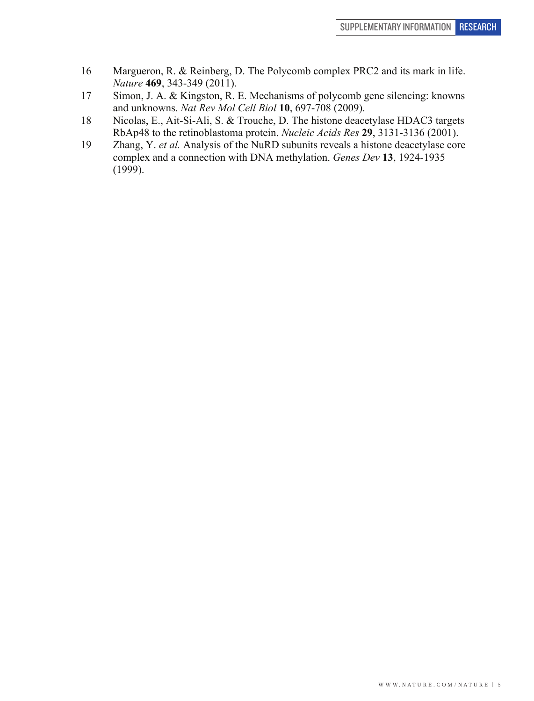- 16 Margueron, R. & Reinberg, D. The Polycomb complex PRC2 and its mark in life. *Nature* **469**, 343-349 (2011).
- 17 Simon, J. A. & Kingston, R. E. Mechanisms of polycomb gene silencing: knowns and unknowns. *Nat Rev Mol Cell Biol* **10**, 697-708 (2009).
- 18 Nicolas, E., Ait-Si-Ali, S. & Trouche, D. The histone deacetylase HDAC3 targets RbAp48 to the retinoblastoma protein. *Nucleic Acids Res* **29**, 3131-3136 (2001).
- 19 Zhang, Y. *et al.* Analysis of the NuRD subunits reveals a histone deacetylase core complex and a connection with DNA methylation. *Genes Dev* **13**, 1924-1935 (1999).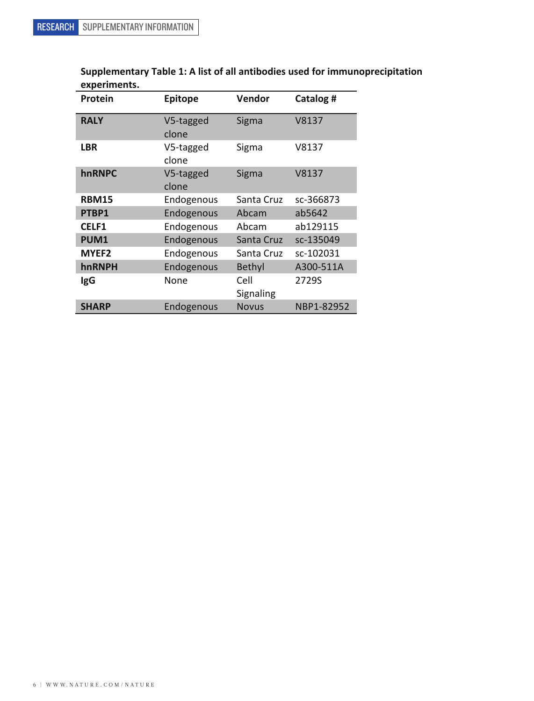| Protein           | <b>Epitope</b>     | Vendor            | Catalog #  |
|-------------------|--------------------|-------------------|------------|
| <b>RALY</b>       | V5-tagged<br>clone | Sigma             | V8137      |
| <b>LBR</b>        | V5-tagged<br>clone | Sigma             | V8137      |
| hnRNPC            | V5-tagged<br>clone | Sigma             | V8137      |
| <b>RBM15</b>      | Endogenous         | Santa Cruz        | sc-366873  |
| PTBP1             | Endogenous         | Abcam             | ab5642     |
| CELF1             | Endogenous         | Abcam             | ab129115   |
| PUM1              | Endogenous         | Santa Cruz        | sc-135049  |
| MYEF <sub>2</sub> | Endogenous         | Santa Cruz        | sc-102031  |
| hnRNPH            | Endogenous         | <b>Bethyl</b>     | A300-511A  |
| lgG               | None               | Cell<br>Signaling | 2729S      |
| <b>SHARP</b>      | Endogenous         | <b>Novus</b>      | NBP1-82952 |

Supplementary Table 1: A list of all antibodies used for immunoprecipitation **experiments.**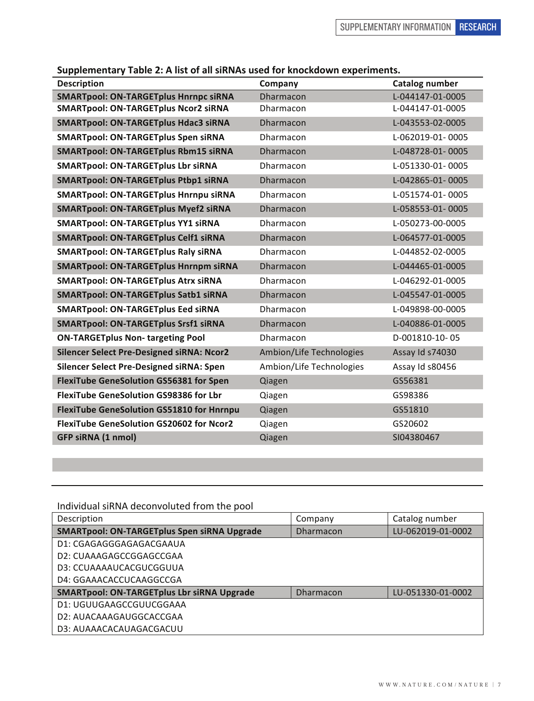Supplementary Table 2014

|  |  |  | Supplementary Table 2: A list of all siRNAs used for knockdown experiments. |
|--|--|--|-----------------------------------------------------------------------------|
|--|--|--|-----------------------------------------------------------------------------|

| <b>Description</b>                               | Company                  | <b>Catalog number</b> |
|--------------------------------------------------|--------------------------|-----------------------|
| <b>SMARTpool: ON-TARGETplus Hnrnpc siRNA</b>     | Dharmacon                | L-044147-01-0005      |
| <b>SMARTpool: ON-TARGETplus Ncor2 siRNA</b>      | Dharmacon                | L-044147-01-0005      |
| <b>SMARTpool: ON-TARGETplus Hdac3 siRNA</b>      | Dharmacon                | L-043553-02-0005      |
| <b>SMARTpool: ON-TARGETplus Spen siRNA</b>       | Dharmacon                | L-062019-01-0005      |
| <b>SMARTpool: ON-TARGETplus Rbm15 siRNA</b>      | <b>Dharmacon</b>         | L-048728-01-0005      |
| <b>SMARTpool: ON-TARGETplus Lbr siRNA</b>        | Dharmacon                | L-051330-01-0005      |
| <b>SMARTpool: ON-TARGETplus Ptbp1 siRNA</b>      | Dharmacon                | L-042865-01-0005      |
| SMARTpool: ON-TARGETplus Hnrnpu siRNA            | Dharmacon                | L-051574-01-0005      |
| <b>SMARTpool: ON-TARGETplus Myef2 siRNA</b>      | Dharmacon                | L-058553-01-0005      |
| <b>SMARTpool: ON-TARGETplus YY1 siRNA</b>        | Dharmacon                | L-050273-00-0005      |
| <b>SMARTpool: ON-TARGETplus Celf1 siRNA</b>      | Dharmacon                | L-064577-01-0005      |
| <b>SMARTpool: ON-TARGETplus Raly siRNA</b>       | Dharmacon                | L-044852-02-0005      |
| <b>SMARTpool: ON-TARGETplus Hnrnpm siRNA</b>     | Dharmacon                | L-044465-01-0005      |
| <b>SMARTpool: ON-TARGETplus Atrx siRNA</b>       | Dharmacon                | L-046292-01-0005      |
| <b>SMARTpool: ON-TARGETplus Satb1 siRNA</b>      | <b>Dharmacon</b>         | L-045547-01-0005      |
| <b>SMARTpool: ON-TARGETplus Eed siRNA</b>        | Dharmacon                | L-049898-00-0005      |
| <b>SMARTpool: ON-TARGETplus Srsf1 siRNA</b>      | Dharmacon                | L-040886-01-0005      |
| <b>ON-TARGETplus Non- targeting Pool</b>         | Dharmacon                | D-001810-10-05        |
| <b>Silencer Select Pre-Designed siRNA: Ncor2</b> | Ambion/Life Technologies | Assay Id s74030       |
| Silencer Select Pre-Designed siRNA: Spen         | Ambion/Life Technologies | Assay Id s80456       |
| <b>FlexiTube GeneSolution GS56381 for Spen</b>   | Qiagen                   | GS56381               |
| <b>FlexiTube GeneSolution GS98386 for Lbr</b>    | Qiagen                   | GS98386               |
| <b>FlexiTube GeneSolution GS51810 for Hnrnpu</b> | Qiagen                   | GS51810               |
| <b>FlexiTube GeneSolution GS20602 for Ncor2</b>  | Qiagen                   | GS20602               |
| GFP siRNA (1 nmol)                               | Qiagen                   | SI04380467            |
|                                                  |                          |                       |

| Individual siRNA deconvoluted from the pool        |                  |                   |  |  |
|----------------------------------------------------|------------------|-------------------|--|--|
| Description                                        | Company          | Catalog number    |  |  |
| <b>SMARTpool: ON-TARGETplus Spen siRNA Upgrade</b> | <b>Dharmacon</b> | LU-062019-01-0002 |  |  |
| D1: CGAGAGGGAGAGACGAAUA                            |                  |                   |  |  |
| D2: CUAAAGAGCCGGAGCCGAA                            |                  |                   |  |  |
| D3: CCUAAAAUCACGUCGGUUA                            |                  |                   |  |  |
| D4: GGAAACACCUCAAGGCCGA                            |                  |                   |  |  |
| <b>SMARTpool: ON-TARGETplus Lbr siRNA Upgrade</b>  | <b>Dharmacon</b> | LU-051330-01-0002 |  |  |
| D1: UGUUGAAGCCGUUCGGAAA                            |                  |                   |  |  |
| D2: AUACAAAGAUGGCACCGAA                            |                  |                   |  |  |
| D3: AUAAACACAUAGACGACUU                            |                  |                   |  |  |

Individual siRNA deconvoluted from the need